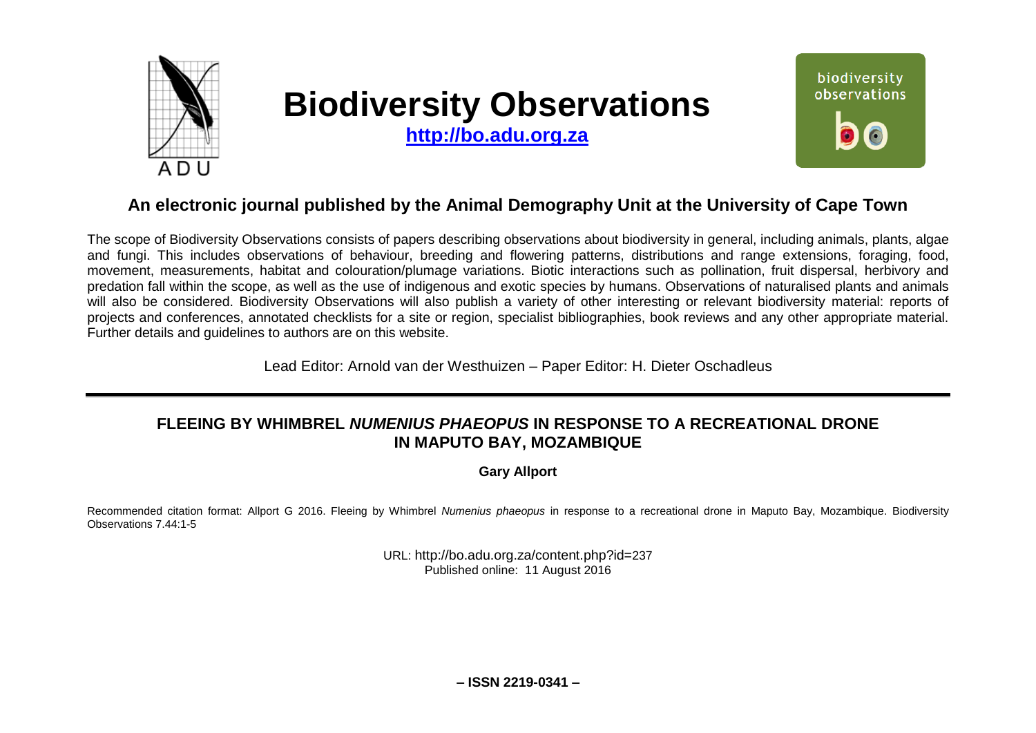

# **Biodiversity Observations**

**[http://bo.adu.org.za](http://bo.adu.org.za/)**



# **An electronic journal published by the Animal Demography Unit at the University of Cape Town**

The scope of Biodiversity Observations consists of papers describing observations about biodiversity in general, including animals, plants, algae and fungi. This includes observations of behaviour, breeding and flowering patterns, distributions and range extensions, foraging, food, movement, measurements, habitat and colouration/plumage variations. Biotic interactions such as pollination, fruit dispersal, herbivory and predation fall within the scope, as well as the use of indigenous and exotic species by humans. Observations of naturalised plants and animals will also be considered. Biodiversity Observations will also publish a variety of other interesting or relevant biodiversity material: reports of projects and conferences, annotated checklists for a site or region, specialist bibliographies, book reviews and any other appropriate material. Further details and guidelines to authors are on this website.

Lead Editor: Arnold van der Westhuizen – Paper Editor: H. Dieter Oschadleus

# **FLEEING BY WHIMBREL** *NUMENIUS PHAEOPUS* **IN RESPONSE TO A RECREATIONAL DRONE IN MAPUTO BAY, MOZAMBIQUE**

**Gary Allport**

Recommended citation format: Allport G 2016. Fleeing by Whimbrel *Numenius phaeopus* in response to a recreational drone in Maputo Bay, Mozambique. Biodiversity Observations 7.44:1-5

> URL: http://bo.adu.org.za/content.php?id=237 Published online: 11 August 2016

> > **– ISSN 2219-0341 –**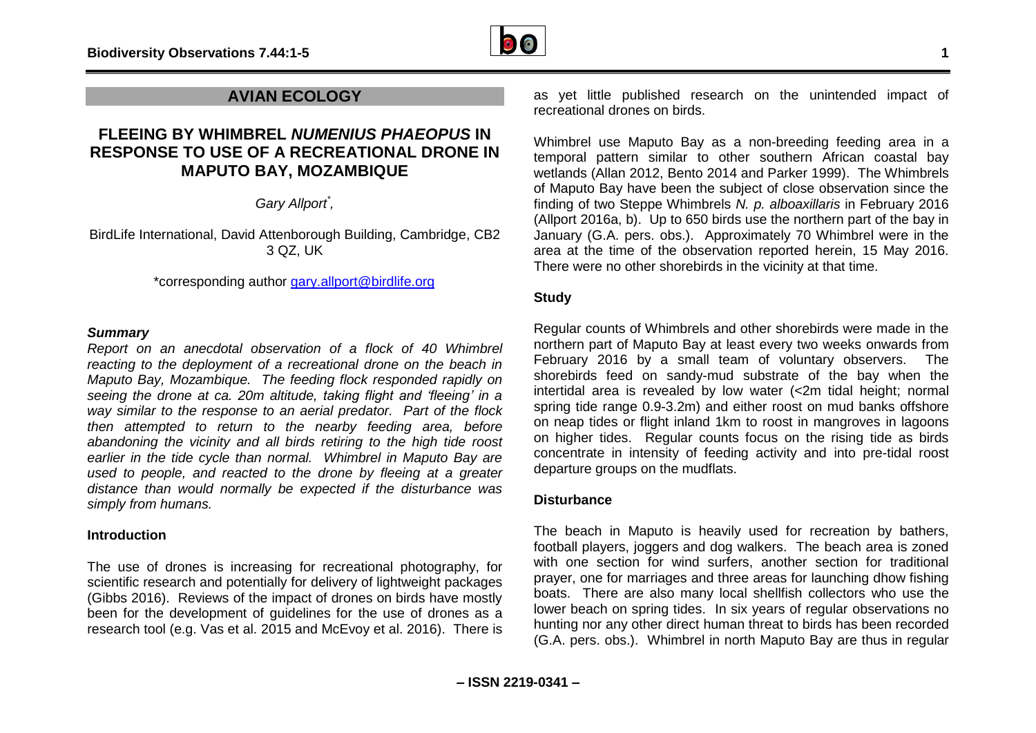

## **AVIAN ECOLOGY**

# **FLEEING BY WHIMBREL** *NUMENIUS PHAEOPUS* **IN RESPONSE TO USE OF A RECREATIONAL DRONE IN MAPUTO BAY, MOZAMBIQUE**

*Gary Allport\* ,* 

BirdLife International, David Attenborough Building, Cambridge, CB2 3 QZ, UK

\*corresponding author [gary.allport@birdlife.org](mailto:gary.allport@birdlife.org)

#### *Summary*

*Report on an anecdotal observation of a flock of 40 Whimbrel reacting to the deployment of a recreational drone on the beach in Maputo Bay, Mozambique. The feeding flock responded rapidly on seeing the drone at ca. 20m altitude, taking flight and 'fleeing' in a way similar to the response to an aerial predator. Part of the flock then attempted to return to the nearby feeding area, before abandoning the vicinity and all birds retiring to the high tide roost earlier in the tide cycle than normal. Whimbrel in Maputo Bay are used to people, and reacted to the drone by fleeing at a greater distance than would normally be expected if the disturbance was simply from humans.*

#### **Introduction**

The use of drones is increasing for recreational photography, for scientific research and potentially for delivery of lightweight packages (Gibbs 2016). Reviews of the impact of drones on birds have mostly been for the development of guidelines for the use of drones as a research tool (e.g. Vas et al. 2015 and McEvoy et al. 2016). There is

as yet little published research on the unintended impact of recreational drones on birds.

Whimbrel use Maputo Bay as a non-breeding feeding area in a temporal pattern similar to other southern African coastal bay wetlands (Allan 2012, Bento 2014 and Parker 1999). The Whimbrels of Maputo Bay have been the subject of close observation since the finding of two Steppe Whimbrels *N. p. alboaxillaris* in February 2016 (Allport 2016a, b). Up to 650 birds use the northern part of the bay in January (G.A. pers. obs.). Approximately 70 Whimbrel were in the area at the time of the observation reported herein, 15 May 2016. There were no other shorebirds in the vicinity at that time.

## **Study**

Regular counts of Whimbrels and other shorebirds were made in the northern part of Maputo Bay at least every two weeks onwards from February 2016 by a small team of voluntary observers. The shorebirds feed on sandy-mud substrate of the bay when the intertidal area is revealed by low water (<2m tidal height; normal spring tide range 0.9-3.2m) and either roost on mud banks offshore on neap tides or flight inland 1km to roost in mangroves in lagoons on higher tides. Regular counts focus on the rising tide as birds concentrate in intensity of feeding activity and into pre-tidal roost departure groups on the mudflats.

#### **Disturbance**

The beach in Maputo is heavily used for recreation by bathers, football players, joggers and dog walkers. The beach area is zoned with one section for wind surfers, another section for traditional prayer, one for marriages and three areas for launching dhow fishing boats. There are also many local shellfish collectors who use the lower beach on spring tides. In six years of regular observations no hunting nor any other direct human threat to birds has been recorded (G.A. pers. obs.). Whimbrel in north Maputo Bay are thus in regular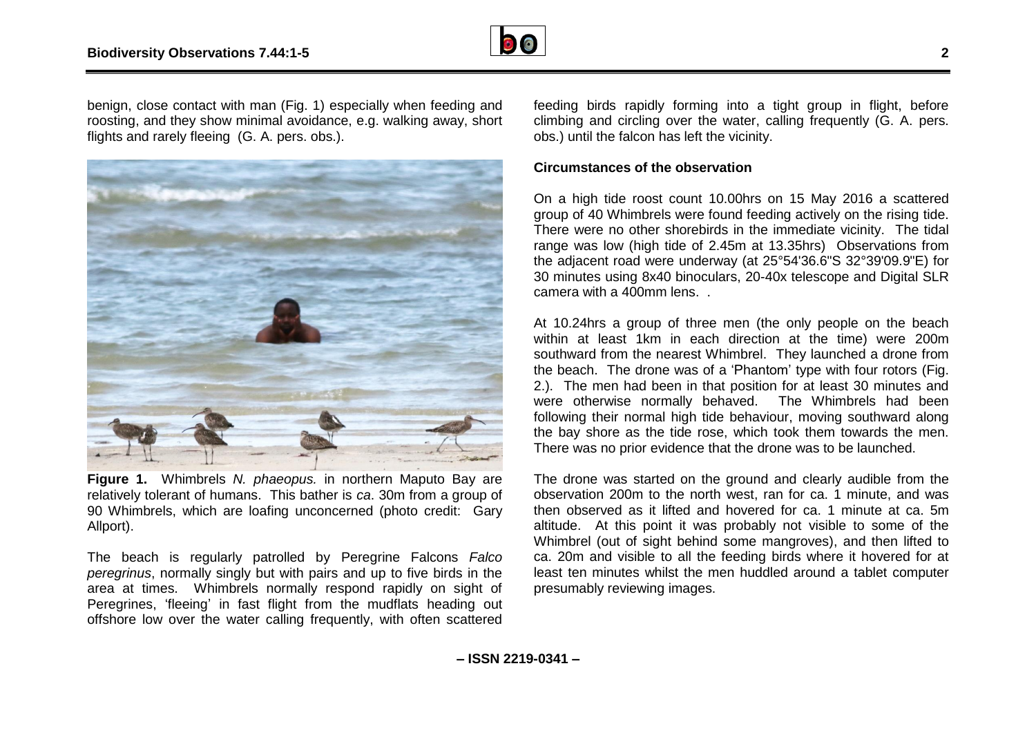

benign, close contact with man (Fig. 1) especially when feeding and roosting, and they show minimal avoidance, e.g. walking away, short flights and rarely fleeing (G. A. pers. obs.).



**Figure 1.** Whimbrels *N. phaeopus.* in northern Maputo Bay are relatively tolerant of humans. This bather is *ca*. 30m from a group of 90 Whimbrels, which are loafing unconcerned (photo credit: Gary Allport).

The beach is regularly patrolled by Peregrine Falcons *Falco peregrinus*, normally singly but with pairs and up to five birds in the area at times. Whimbrels normally respond rapidly on sight of Peregrines, 'fleeing' in fast flight from the mudflats heading out offshore low over the water calling frequently, with often scattered

feeding birds rapidly forming into a tight group in flight, before climbing and circling over the water, calling frequently (G. A. pers. obs.) until the falcon has left the vicinity.

## **Circumstances of the observation**

On a high tide roost count 10.00hrs on 15 May 2016 a scattered group of 40 Whimbrels were found feeding actively on the rising tide. There were no other shorebirds in the immediate vicinity. The tidal range was low (high tide of 2.45m at 13.35hrs) Observations from the adjacent road were underway (at 25°54'36.6"S 32°39'09.9"E) for 30 minutes using 8x40 binoculars, 20-40x telescope and Digital SLR camera with a 400mm lens. .

At 10.24hrs a group of three men (the only people on the beach within at least 1km in each direction at the time) were 200m southward from the nearest Whimbrel. They launched a drone from the beach. The drone was of a 'Phantom' type with four rotors (Fig. 2.). The men had been in that position for at least 30 minutes and were otherwise normally behaved. The Whimbrels had been following their normal high tide behaviour, moving southward along the bay shore as the tide rose, which took them towards the men. There was no prior evidence that the drone was to be launched.

The drone was started on the ground and clearly audible from the observation 200m to the north west, ran for ca. 1 minute, and was then observed as it lifted and hovered for ca. 1 minute at ca. 5m altitude. At this point it was probably not visible to some of the Whimbrel (out of sight behind some mangroves), and then lifted to ca. 20m and visible to all the feeding birds where it hovered for at least ten minutes whilst the men huddled around a tablet computer presumably reviewing images.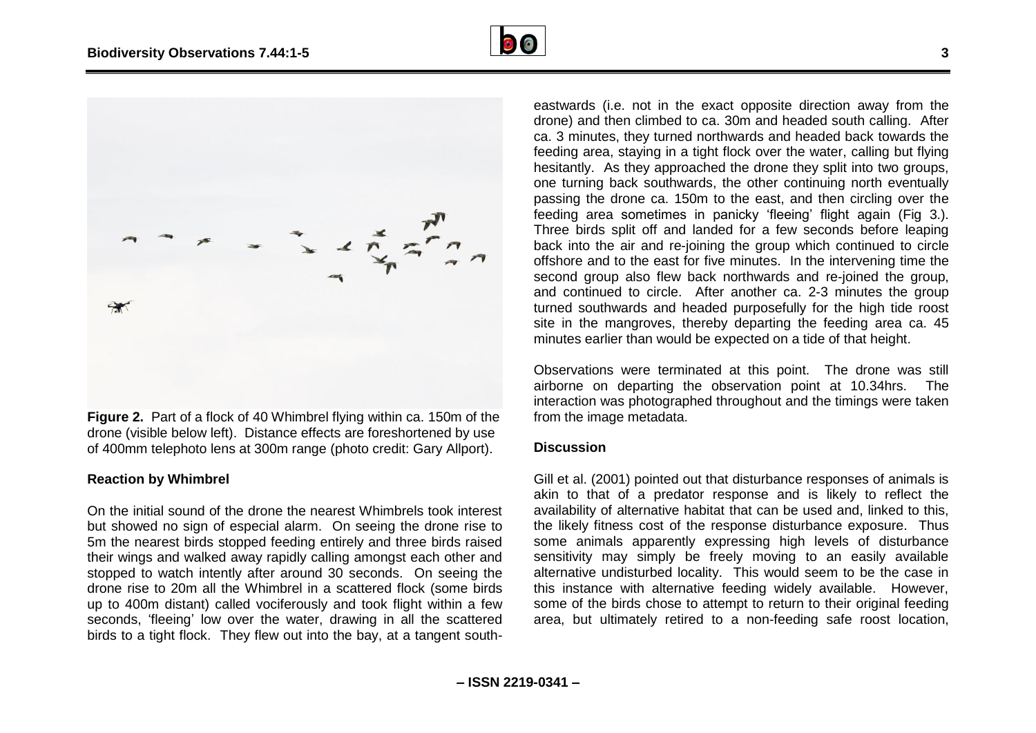



**Figure 2.** Part of a flock of 40 Whimbrel flying within ca. 150m of the drone (visible below left). Distance effects are foreshortened by use of 400mm telephoto lens at 300m range (photo credit: Gary Allport).

#### **Reaction by Whimbrel**

On the initial sound of the drone the nearest Whimbrels took interest but showed no sign of especial alarm. On seeing the drone rise to 5m the nearest birds stopped feeding entirely and three birds raised their wings and walked away rapidly calling amongst each other and stopped to watch intently after around 30 seconds. On seeing the drone rise to 20m all the Whimbrel in a scattered flock (some birds up to 400m distant) called vociferously and took flight within a few seconds, 'fleeing' low over the water, drawing in all the scattered birds to a tight flock. They flew out into the bay, at a tangent southeastwards (i.e. not in the exact opposite direction away from the drone) and then climbed to ca. 30m and headed south calling. After ca. 3 minutes, they turned northwards and headed back towards the feeding area, staying in a tight flock over the water, calling but flying hesitantly. As they approached the drone they split into two groups, one turning back southwards, the other continuing north eventually passing the drone ca. 150m to the east, and then circling over the feeding area sometimes in panicky 'fleeing' flight again (Fig 3.). Three birds split off and landed for a few seconds before leaping back into the air and re-joining the group which continued to circle offshore and to the east for five minutes. In the intervening time the second group also flew back northwards and re-joined the group, and continued to circle. After another ca. 2-3 minutes the group turned southwards and headed purposefully for the high tide roost site in the mangroves, thereby departing the feeding area ca. 45 minutes earlier than would be expected on a tide of that height.

Observations were terminated at this point. The drone was still airborne on departing the observation point at 10.34hrs. The interaction was photographed throughout and the timings were taken from the image metadata.

#### **Discussion**

Gill et al. (2001) pointed out that disturbance responses of animals is akin to that of a predator response and is likely to reflect the availability of alternative habitat that can be used and, linked to this, the likely fitness cost of the response disturbance exposure. Thus some animals apparently expressing high levels of disturbance sensitivity may simply be freely moving to an easily available alternative undisturbed locality. This would seem to be the case in this instance with alternative feeding widely available. However, some of the birds chose to attempt to return to their original feeding area, but ultimately retired to a non-feeding safe roost location,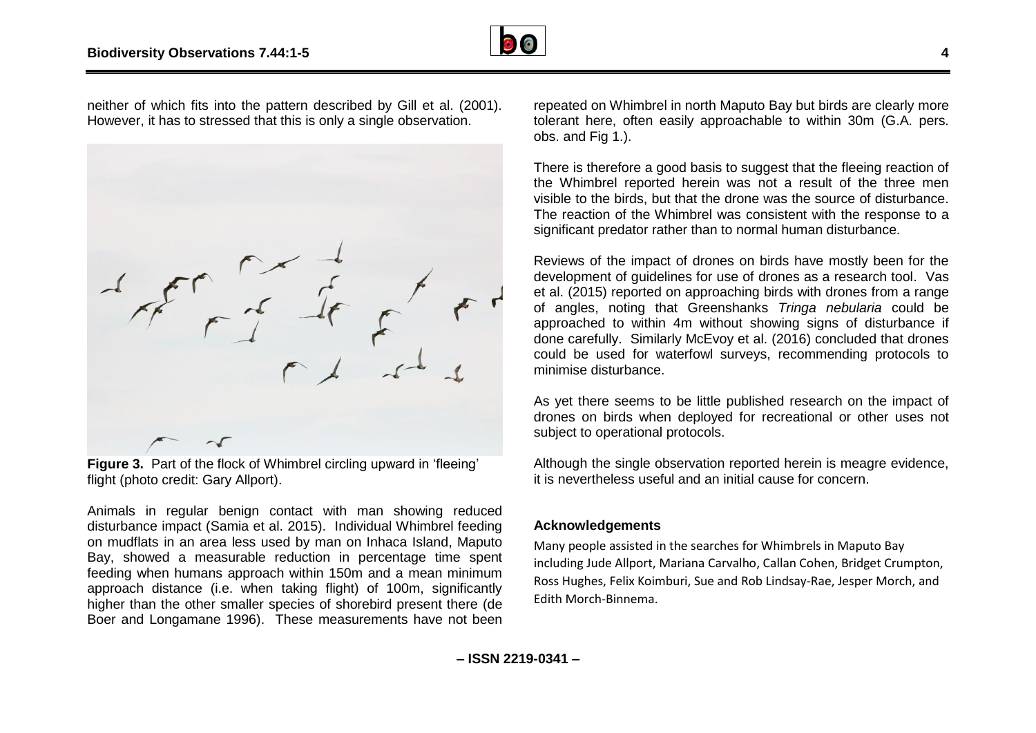![](_page_4_Picture_1.jpeg)

neither of which fits into the pattern described by Gill et al. (2001). However, it has to stressed that this is only a single observation.

**Figure 3.** Part of the flock of Whimbrel circling upward in 'fleeing' flight (photo credit: Gary Allport).

Animals in regular benign contact with man showing reduced disturbance impact (Samia et al. 2015). Individual Whimbrel feeding on mudflats in an area less used by man on Inhaca Island, Maputo Bay, showed a measurable reduction in percentage time spent feeding when humans approach within 150m and a mean minimum approach distance (i.e. when taking flight) of 100m, significantly higher than the other smaller species of shorebird present there (de Boer and Longamane 1996). These measurements have not been

repeated on Whimbrel in north Maputo Bay but birds are clearly more tolerant here, often easily approachable to within 30m (G.A. pers. obs. and Fig 1.).

There is therefore a good basis to suggest that the fleeing reaction of the Whimbrel reported herein was not a result of the three men visible to the birds, but that the drone was the source of disturbance. The reaction of the Whimbrel was consistent with the response to a significant predator rather than to normal human disturbance.

Reviews of the impact of drones on birds have mostly been for the development of guidelines for use of drones as a research tool. Vas et al. (2015) reported on approaching birds with drones from a range of angles, noting that Greenshanks *Tringa nebularia* could be approached to within 4m without showing signs of disturbance if done carefully. Similarly McEvoy et al. (2016) concluded that drones could be used for waterfowl surveys, recommending protocols to minimise disturbance.

As yet there seems to be little published research on the impact of drones on birds when deployed for recreational or other uses not subject to operational protocols.

Although the single observation reported herein is meagre evidence. it is nevertheless useful and an initial cause for concern.

#### **Acknowledgements**

Many people assisted in the searches for Whimbrels in Maputo Bay including Jude Allport, Mariana Carvalho, Callan Cohen, Bridget Crumpton, Ross Hughes, Felix Koimburi, Sue and Rob Lindsay-Rae, Jesper Morch, and Edith Morch-Binnema.